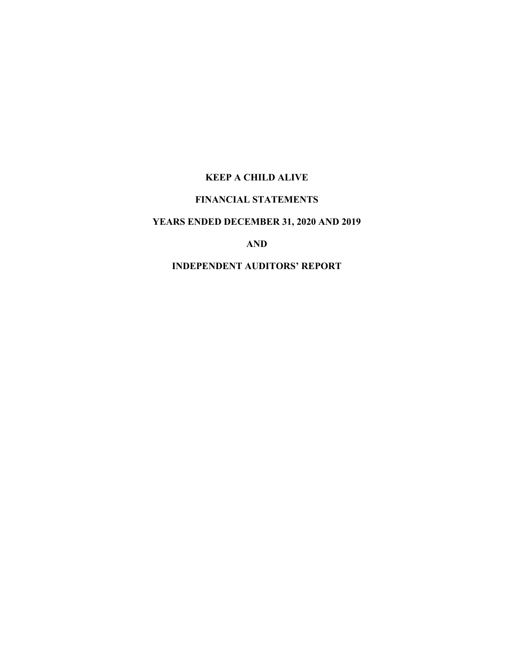# **FINANCIAL STATEMENTS**

# **YEARS ENDED DECEMBER 31, 2020 AND 2019**

**AND**

# **INDEPENDENT AUDITORS' REPORT**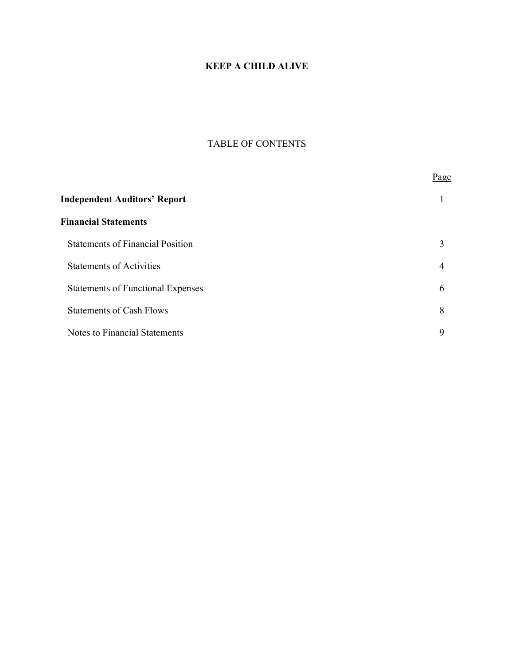# TABLE OF CONTENTS

|                                          | Page |
|------------------------------------------|------|
| <b>Independent Auditors' Report</b>      |      |
| <b>Financial Statements</b>              |      |
| <b>Statements of Financial Position</b>  | 3    |
| <b>Statements of Activities</b>          | 4    |
| <b>Statements of Functional Expenses</b> | 6    |
| <b>Statements of Cash Flows</b>          | 8    |
| Notes to Financial Statements            | 9    |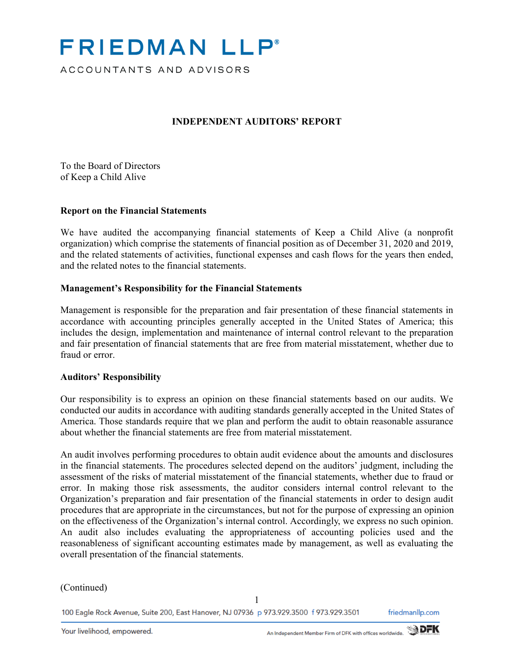# **FRIEDMAN LLP**<sup>®</sup>

ACCOUNTANTS AND ADVISORS

# **INDEPENDENT AUDITORS' REPORT**

To the Board of Directors of Keep a Child Alive

## **Report on the Financial Statements**

We have audited the accompanying financial statements of Keep a Child Alive (a nonprofit organization) which comprise the statements of financial position as of December 31, 2020 and 2019, and the related statements of activities, functional expenses and cash flows for the years then ended, and the related notes to the financial statements.

## **Management's Responsibility for the Financial Statements**

Management is responsible for the preparation and fair presentation of these financial statements in accordance with accounting principles generally accepted in the United States of America; this includes the design, implementation and maintenance of internal control relevant to the preparation and fair presentation of financial statements that are free from material misstatement, whether due to fraud or error.

## **Auditors' Responsibility**

Our responsibility is to express an opinion on these financial statements based on our audits. We conducted our audits in accordance with auditing standards generally accepted in the United States of America. Those standards require that we plan and perform the audit to obtain reasonable assurance about whether the financial statements are free from material misstatement.

An audit involves performing procedures to obtain audit evidence about the amounts and disclosures in the financial statements. The procedures selected depend on the auditors' judgment, including the assessment of the risks of material misstatement of the financial statements, whether due to fraud or error. In making those risk assessments, the auditor considers internal control relevant to the Organization's preparation and fair presentation of the financial statements in order to design audit procedures that are appropriate in the circumstances, but not for the purpose of expressing an opinion on the effectiveness of the Organization's internal control. Accordingly, we express no such opinion. An audit also includes evaluating the appropriateness of accounting policies used and the reasonableness of significant accounting estimates made by management, as well as evaluating the overall presentation of the financial statements.

## (Continued)

100 Eagle Rock Avenue, Suite 200, East Hanover, NJ 07936 p 973.929.3500 f 973.929.3501

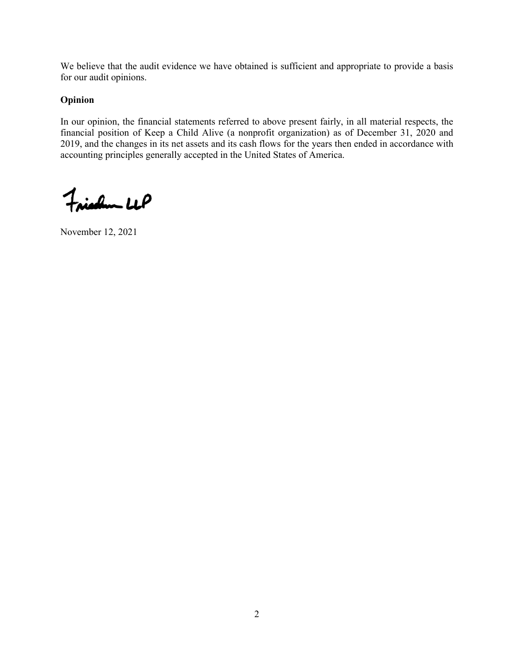We believe that the audit evidence we have obtained is sufficient and appropriate to provide a basis for our audit opinions.

# **Opinion**

In our opinion, the financial statements referred to above present fairly, in all material respects, the financial position of Keep a Child Alive (a nonprofit organization) as of December 31, 2020 and 2019, and the changes in its net assets and its cash flows for the years then ended in accordance with accounting principles generally accepted in the United States of America.

Friedlem LLP

November 12, 2021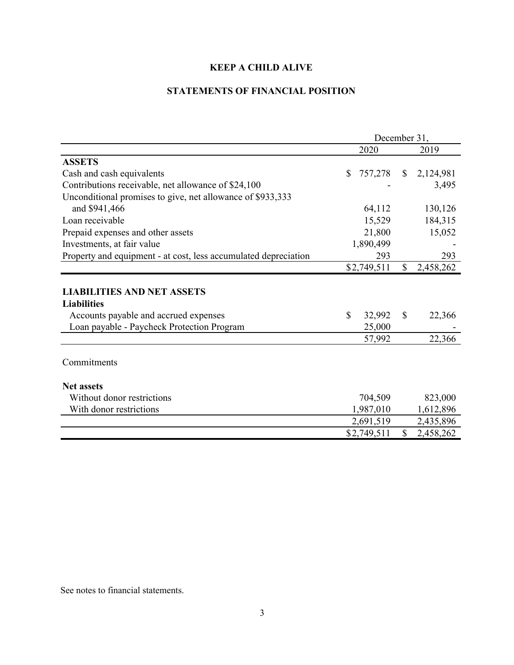# **STATEMENTS OF FINANCIAL POSITION**

|                                                                                                  | December 31, |             |               |           |
|--------------------------------------------------------------------------------------------------|--------------|-------------|---------------|-----------|
|                                                                                                  |              | 2020        |               | 2019      |
| <b>ASSETS</b>                                                                                    |              |             |               |           |
| Cash and cash equivalents                                                                        | \$           | 757,278     | $\mathbb{S}$  | 2,124,981 |
| Contributions receivable, net allowance of \$24,100                                              |              |             |               | 3,495     |
| Unconditional promises to give, net allowance of \$933,333                                       |              |             |               |           |
| and \$941,466                                                                                    |              | 64,112      |               | 130,126   |
| Loan receivable                                                                                  |              | 15,529      |               | 184,315   |
| Prepaid expenses and other assets                                                                |              | 21,800      |               | 15,052    |
| Investments, at fair value                                                                       |              | 1,890,499   |               |           |
| Property and equipment - at cost, less accumulated depreciation                                  |              | 293         |               | 293       |
|                                                                                                  |              | \$2,749,511 | $\mathcal{S}$ | 2,458,262 |
| <b>LIABILITIES AND NET ASSETS</b><br><b>Liabilities</b><br>Accounts payable and accrued expenses | $\mathbb{S}$ | 32,992      | $\mathbb{S}$  | 22,366    |
| Loan payable - Paycheck Protection Program                                                       |              | 25,000      |               |           |
|                                                                                                  |              | 57,992      |               | 22,366    |
| Commitments                                                                                      |              |             |               |           |
| <b>Net assets</b>                                                                                |              |             |               |           |
| Without donor restrictions                                                                       |              | 704,509     |               | 823,000   |
| With donor restrictions                                                                          |              | 1,987,010   |               | 1,612,896 |
|                                                                                                  |              | 2,691,519   |               | 2,435,896 |
|                                                                                                  |              | \$2,749,511 | $\mathbb{S}$  | 2,458,262 |
|                                                                                                  |              |             |               |           |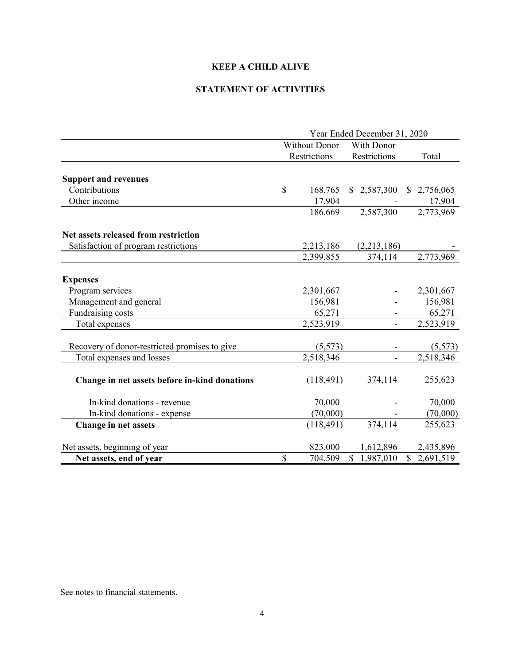# **STATEMENT OF ACTIVITIES**

|                                               | Year Ended December 31, 2020 |                      |              |    |                        |
|-----------------------------------------------|------------------------------|----------------------|--------------|----|------------------------|
|                                               |                              | <b>Without Donor</b> | With Donor   |    |                        |
|                                               |                              | Restrictions         | Restrictions |    | Total                  |
|                                               |                              |                      |              |    |                        |
| <b>Support and revenues</b>                   |                              |                      |              |    |                        |
| Contributions                                 | \$                           | 168,765              | \$2,587,300  |    | \$2,756,065            |
| Other income                                  |                              | 17,904               |              |    | 17,904                 |
|                                               |                              | 186,669              | 2,587,300    |    | 2,773,969              |
| Net assets released from restriction          |                              |                      |              |    |                        |
| Satisfaction of program restrictions          |                              | 2,213,186            | (2,213,186)  |    |                        |
|                                               |                              | 2,399,855            | 374,114      |    | 2,773,969              |
|                                               |                              |                      |              |    |                        |
| <b>Expenses</b>                               |                              |                      |              |    |                        |
| Program services                              |                              | 2,301,667            |              |    | 2,301,667              |
| Management and general                        |                              | 156,981              |              |    | 156,981                |
| Fundraising costs                             |                              | 65,271               |              |    | 65,271                 |
| Total expenses                                |                              | 2,523,919            |              |    | 2,523,919              |
|                                               |                              |                      |              |    |                        |
| Recovery of donor-restricted promises to give |                              | (5,573)              |              |    | (5,573)                |
| Total expenses and losses                     |                              | 2,518,346            |              |    | $\overline{2,518,346}$ |
| Change in net assets before in-kind donations |                              | (118, 491)           | 374,114      |    | 255,623                |
| In-kind donations - revenue                   |                              | 70,000               |              |    | 70,000                 |
| In-kind donations - expense                   |                              | (70,000)             |              |    | (70,000)               |
| Change in net assets                          |                              | (118, 491)           | 374,114      |    | 255,623                |
| Net assets, beginning of year                 |                              | 823,000              | 1,612,896    |    | 2,435,896              |
| Net assets, end of year                       | \$                           | 704,509              | \$1,987,010  | \$ | 2,691,519              |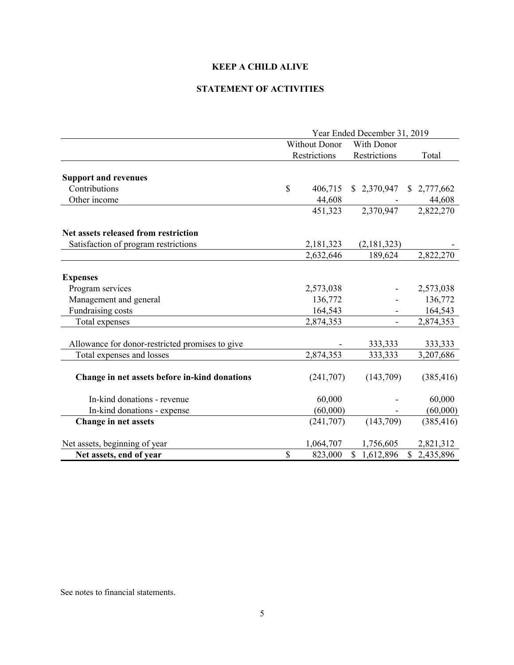# **STATEMENT OF ACTIVITIES**

|                                                 | Year Ended December 31, 2019 |               |              |                 |  |
|-------------------------------------------------|------------------------------|---------------|--------------|-----------------|--|
|                                                 |                              | Without Donor | With Donor   |                 |  |
|                                                 |                              | Restrictions  | Restrictions | Total           |  |
|                                                 |                              |               |              |                 |  |
| <b>Support and revenues</b>                     |                              |               |              |                 |  |
| Contributions                                   | \$                           | 406,715       | \$2,370,947  | \$2,777,662     |  |
| Other income                                    |                              | 44,608        |              | 44,608          |  |
|                                                 |                              | 451,323       | 2,370,947    | 2,822,270       |  |
| Net assets released from restriction            |                              |               |              |                 |  |
| Satisfaction of program restrictions            |                              | 2,181,323     | (2,181,323)  |                 |  |
|                                                 |                              | 2,632,646     | 189,624      | 2,822,270       |  |
|                                                 |                              |               |              |                 |  |
| <b>Expenses</b>                                 |                              |               |              |                 |  |
| Program services                                |                              | 2,573,038     |              | 2,573,038       |  |
| Management and general                          |                              | 136,772       |              | 136,772         |  |
| Fundraising costs                               |                              | 164,543       |              | 164,543         |  |
| Total expenses                                  |                              | 2,874,353     |              | 2,874,353       |  |
| Allowance for donor-restricted promises to give |                              |               | 333,333      | 333,333         |  |
| Total expenses and losses                       |                              | 2,874,353     | 333,333      | 3,207,686       |  |
| Change in net assets before in-kind donations   |                              | (241,707)     | (143,709)    | (385, 416)      |  |
| In-kind donations - revenue                     |                              | 60,000        |              | 60,000          |  |
| In-kind donations - expense                     |                              | (60,000)      |              | (60,000)        |  |
| Change in net assets                            |                              | (241,707)     | (143,709)    | (385, 416)      |  |
| Net assets, beginning of year                   |                              | 1,064,707     | 1,756,605    | 2,821,312       |  |
| Net assets, end of year                         | $\mathcal{S}$                | 823,000       | \$1,612,896  | 2,435,896<br>\$ |  |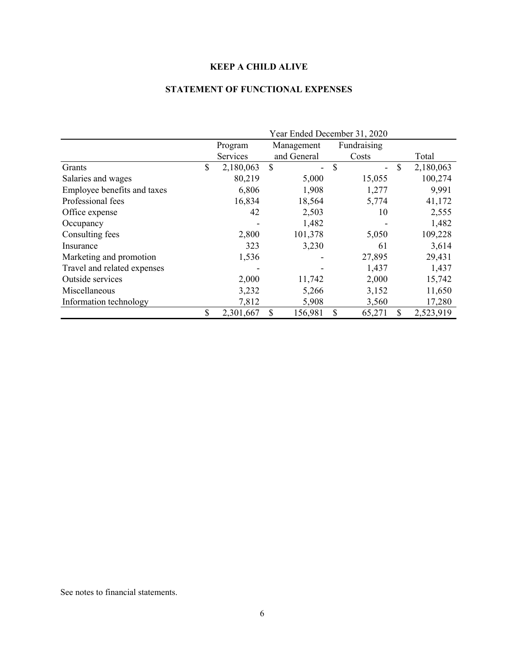# **STATEMENT OF FUNCTIONAL EXPENSES**

|                             | Year Ended December 31, 2020 |           |    |             |              |                |    |           |
|-----------------------------|------------------------------|-----------|----|-------------|--------------|----------------|----|-----------|
|                             |                              | Program   |    | Management  |              | Fundraising    |    |           |
|                             |                              | Services  |    | and General |              | Costs          |    | Total     |
| Grants                      | \$                           | 2,180,063 | \$ | Ξ.          | \$           | $\blacksquare$ | \$ | 2,180,063 |
| Salaries and wages          |                              | 80,219    |    | 5,000       |              | 15,055         |    | 100,274   |
| Employee benefits and taxes |                              | 6,806     |    | 1,908       |              | 1,277          |    | 9,991     |
| Professional fees           |                              | 16,834    |    | 18,564      |              | 5,774          |    | 41,172    |
| Office expense              |                              | 42        |    | 2,503       |              | 10             |    | 2,555     |
| Occupancy                   |                              |           |    | 1,482       |              |                |    | 1,482     |
| Consulting fees             |                              | 2,800     |    | 101,378     |              | 5,050          |    | 109,228   |
| Insurance                   |                              | 323       |    | 3,230       |              | 61             |    | 3,614     |
| Marketing and promotion     |                              | 1,536     |    |             |              | 27,895         |    | 29,431    |
| Travel and related expenses |                              |           |    |             |              | 1,437          |    | 1,437     |
| Outside services            |                              | 2,000     |    | 11,742      |              | 2,000          |    | 15,742    |
| Miscellaneous               |                              | 3,232     |    | 5,266       |              | 3,152          |    | 11,650    |
| Information technology      |                              | 7,812     |    | 5,908       |              | 3,560          |    | 17,280    |
|                             | \$                           | 2,301,667 | \$ | 156,981     | $\mathbb{S}$ | 65,271         | \$ | 2,523,919 |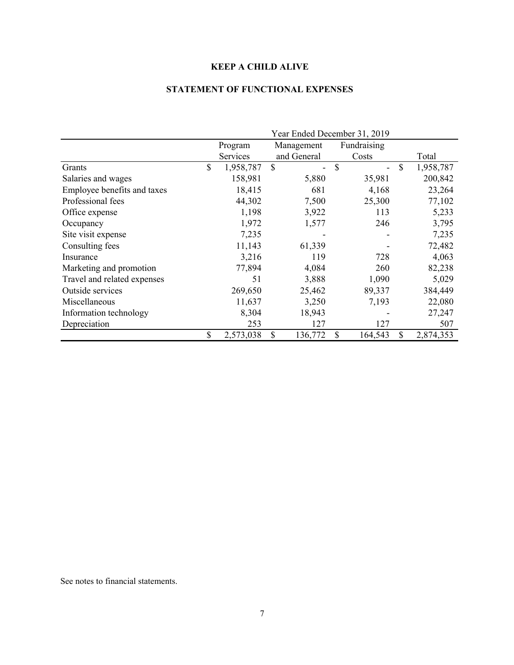# **STATEMENT OF FUNCTIONAL EXPENSES**

|                             | Year Ended December 31, 2019 |           |    |             |               |             |              |           |
|-----------------------------|------------------------------|-----------|----|-------------|---------------|-------------|--------------|-----------|
|                             |                              | Program   |    | Management  |               | Fundraising |              |           |
|                             |                              | Services  |    | and General |               | Costs       |              | Total     |
| Grants                      | \$                           | 1,958,787 | \$ |             | $\mathcal{S}$ |             | $\mathbb{S}$ | 1,958,787 |
| Salaries and wages          |                              | 158,981   |    | 5,880       |               | 35,981      |              | 200,842   |
| Employee benefits and taxes |                              | 18,415    |    | 681         |               | 4,168       |              | 23,264    |
| Professional fees           |                              | 44,302    |    | 7,500       |               | 25,300      |              | 77,102    |
| Office expense              |                              | 1,198     |    | 3,922       |               | 113         |              | 5,233     |
| Occupancy                   |                              | 1,972     |    | 1,577       |               | 246         |              | 3,795     |
| Site visit expense          |                              | 7,235     |    |             |               |             |              | 7,235     |
| Consulting fees             |                              | 11,143    |    | 61,339      |               |             |              | 72,482    |
| Insurance                   |                              | 3,216     |    | 119         |               | 728         |              | 4,063     |
| Marketing and promotion     |                              | 77,894    |    | 4,084       |               | 260         |              | 82,238    |
| Travel and related expenses |                              | 51        |    | 3,888       |               | 1,090       |              | 5,029     |
| Outside services            |                              | 269,650   |    | 25,462      |               | 89,337      |              | 384,449   |
| Miscellaneous               |                              | 11,637    |    | 3,250       |               | 7,193       |              | 22,080    |
| Information technology      |                              | 8,304     |    | 18,943      |               |             |              | 27,247    |
| Depreciation                |                              | 253       |    | 127         |               | 127         |              | 507       |
|                             | \$                           | 2,573,038 | \$ | 136,772     | \$            | 164,543     | \$           | 2,874,353 |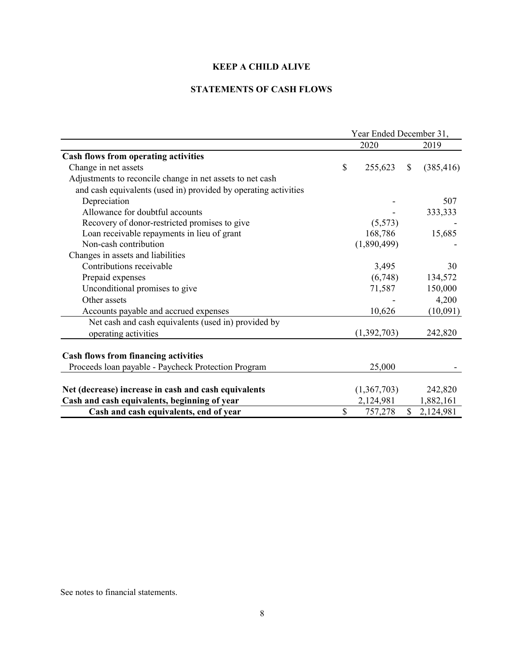# **STATEMENTS OF CASH FLOWS**

|                                                                 | Year Ended December 31, |             |              |            |
|-----------------------------------------------------------------|-------------------------|-------------|--------------|------------|
|                                                                 |                         | 2020        |              | 2019       |
| <b>Cash flows from operating activities</b>                     |                         |             |              |            |
| Change in net assets                                            | \$                      | 255,623     | S            | (385, 416) |
| Adjustments to reconcile change in net assets to net cash       |                         |             |              |            |
| and cash equivalents (used in) provided by operating activities |                         |             |              |            |
| Depreciation                                                    |                         |             |              | 507        |
| Allowance for doubtful accounts                                 |                         |             |              | 333,333    |
| Recovery of donor-restricted promises to give                   |                         | (5,573)     |              |            |
| Loan receivable repayments in lieu of grant                     |                         | 168,786     |              | 15,685     |
| Non-cash contribution                                           |                         | (1,890,499) |              |            |
| Changes in assets and liabilities                               |                         |             |              |            |
| Contributions receivable                                        |                         | 3,495       |              | 30         |
| Prepaid expenses                                                |                         | (6,748)     |              | 134,572    |
| Unconditional promises to give                                  |                         | 71,587      |              | 150,000    |
| Other assets                                                    |                         |             |              | 4,200      |
| Accounts payable and accrued expenses                           |                         | 10,626      |              | (10,091)   |
| Net cash and cash equivalents (used in) provided by             |                         |             |              |            |
| operating activities                                            |                         | (1,392,703) |              | 242,820    |
| <b>Cash flows from financing activities</b>                     |                         |             |              |            |
| Proceeds loan payable - Paycheck Protection Program             |                         | 25,000      |              |            |
|                                                                 |                         |             |              |            |
| Net (decrease) increase in cash and cash equivalents            |                         | (1,367,703) |              | 242,820    |
| Cash and cash equivalents, beginning of year                    |                         | 2,124,981   |              | 1,882,161  |
| Cash and cash equivalents, end of year                          | \$                      | 757,278     | $\mathbb{S}$ | 2,124,981  |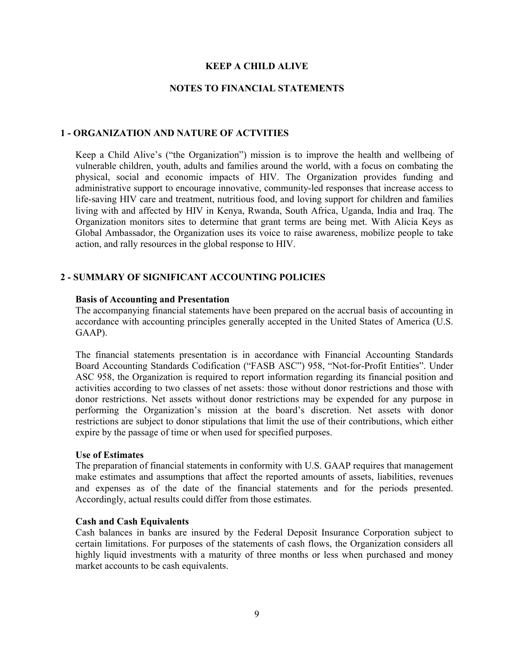#### **NOTES TO FINANCIAL STATEMENTS**

#### **1 - ORGANIZATION AND NATURE OF ACTVITIES**

Keep a Child Alive's ("the Organization") mission is to improve the health and wellbeing of vulnerable children, youth, adults and families around the world, with a focus on combating the physical, social and economic impacts of HIV. The Organization provides funding and administrative support to encourage innovative, community-led responses that increase access to life-saving HIV care and treatment, nutritious food, and loving support for children and families living with and affected by HIV in Kenya, Rwanda, South Africa, Uganda, India and Iraq. The Organization monitors sites to determine that grant terms are being met. With Alicia Keys as Global Ambassador, the Organization uses its voice to raise awareness, mobilize people to take action, and rally resources in the global response to HIV.

#### **2 - SUMMARY OF SIGNIFICANT ACCOUNTING POLICIES**

#### **Basis of Accounting and Presentation**

The accompanying financial statements have been prepared on the accrual basis of accounting in accordance with accounting principles generally accepted in the United States of America (U.S. GAAP).

The financial statements presentation is in accordance with Financial Accounting Standards Board Accounting Standards Codification ("FASB ASC") 958, "Not-for-Profit Entities". Under ASC 958, the Organization is required to report information regarding its financial position and activities according to two classes of net assets: those without donor restrictions and those with donor restrictions. Net assets without donor restrictions may be expended for any purpose in performing the Organization's mission at the board's discretion. Net assets with donor restrictions are subject to donor stipulations that limit the use of their contributions, which either expire by the passage of time or when used for specified purposes.

#### **Use of Estimates**

The preparation of financial statements in conformity with U.S. GAAP requires that management make estimates and assumptions that affect the reported amounts of assets, liabilities, revenues and expenses as of the date of the financial statements and for the periods presented. Accordingly, actual results could differ from those estimates.

#### **Cash and Cash Equivalents**

Cash balances in banks are insured by the Federal Deposit Insurance Corporation subject to certain limitations. For purposes of the statements of cash flows, the Organization considers all highly liquid investments with a maturity of three months or less when purchased and money market accounts to be cash equivalents.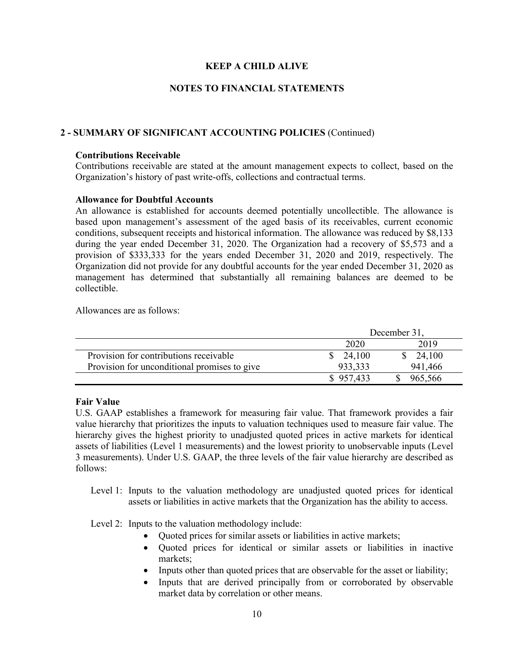## **NOTES TO FINANCIAL STATEMENTS**

## **2 - SUMMARY OF SIGNIFICANT ACCOUNTING POLICIES** (Continued)

#### **Contributions Receivable**

Contributions receivable are stated at the amount management expects to collect, based on the Organization's history of past write-offs, collections and contractual terms.

## **Allowance for Doubtful Accounts**

An allowance is established for accounts deemed potentially uncollectible. The allowance is based upon management's assessment of the aged basis of its receivables, current economic conditions, subsequent receipts and historical information. The allowance was reduced by \$8,133 during the year ended December 31, 2020. The Organization had a recovery of \$5,573 and a provision of \$333,333 for the years ended December 31, 2020 and 2019, respectively. The Organization did not provide for any doubtful accounts for the year ended December 31, 2020 as management has determined that substantially all remaining balances are deemed to be collectible.

Allowances are as follows:

|                                              | December 31,        |          |  |  |
|----------------------------------------------|---------------------|----------|--|--|
|                                              | 2020                | 2019     |  |  |
| Provision for contributions receivable       | $\frac{\$}{24,100}$ | \$24,100 |  |  |
| Provision for unconditional promises to give | 933,333             | 941,466  |  |  |
|                                              | \$957,433           | 965,566  |  |  |

## **Fair Value**

U.S. GAAP establishes a framework for measuring fair value. That framework provides a fair value hierarchy that prioritizes the inputs to valuation techniques used to measure fair value. The hierarchy gives the highest priority to unadjusted quoted prices in active markets for identical assets of liabilities (Level 1 measurements) and the lowest priority to unobservable inputs (Level 3 measurements). Under U.S. GAAP, the three levels of the fair value hierarchy are described as follows:

Level 1: Inputs to the valuation methodology are unadjusted quoted prices for identical assets or liabilities in active markets that the Organization has the ability to access.

Level 2: Inputs to the valuation methodology include:

- Quoted prices for similar assets or liabilities in active markets;
- Quoted prices for identical or similar assets or liabilities in inactive markets;
- Inputs other than quoted prices that are observable for the asset or liability;
- Inputs that are derived principally from or corroborated by observable market data by correlation or other means.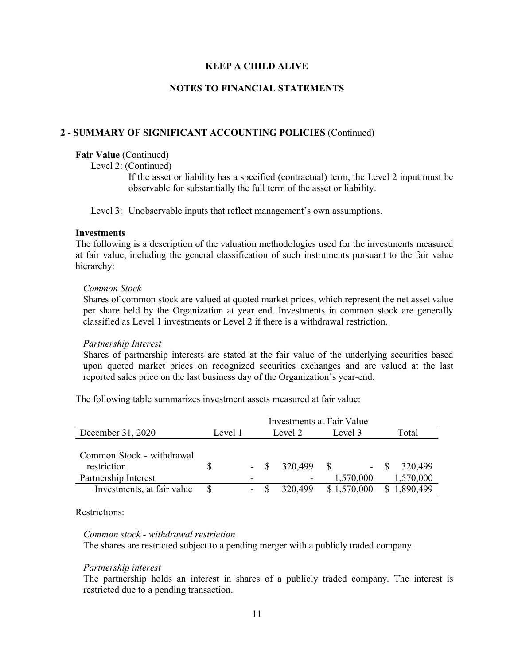# **NOTES TO FINANCIAL STATEMENTS**

## **2 - SUMMARY OF SIGNIFICANT ACCOUNTING POLICIES** (Continued)

#### **Fair Value** (Continued)

Level 2: (Continued)

If the asset or liability has a specified (contractual) term, the Level 2 input must be observable for substantially the full term of the asset or liability.

Level 3: Unobservable inputs that reflect management's own assumptions.

#### **Investments**

The following is a description of the valuation methodologies used for the investments measured at fair value, including the general classification of such instruments pursuant to the fair value hierarchy:

#### *Common Stock*

Shares of common stock are valued at quoted market prices, which represent the net asset value per share held by the Organization at year end. Investments in common stock are generally classified as Level 1 investments or Level 2 if there is a withdrawal restriction.

## *Partnership Interest*

Shares of partnership interests are stated at the fair value of the underlying securities based upon quoted market prices on recognized securities exchanges and are valued at the last reported sales price on the last business day of the Organization's year-end.

The following table summarizes investment assets measured at fair value:

|                                          | Investments at Fair Value |   |       |         |              |                  |
|------------------------------------------|---------------------------|---|-------|---------|--------------|------------------|
| December 31, 2020                        | Level 1                   |   |       | Level 2 | Level 3      | Total            |
| Common Stock - withdrawal<br>restriction |                           |   | $- S$ | 320,499 | $\mathbb{S}$ | 320,499<br>$- S$ |
| Partnership Interest                     |                           |   |       |         | 1,570,000    | 1,570,000        |
| Investments, at fair value               |                           | - |       | 320,499 | \$1,570,000  | 1,890,499        |

Restrictions:

#### *Common stock - withdrawal restriction*

The shares are restricted subject to a pending merger with a publicly traded company.

## *Partnership interest*

The partnership holds an interest in shares of a publicly traded company. The interest is restricted due to a pending transaction.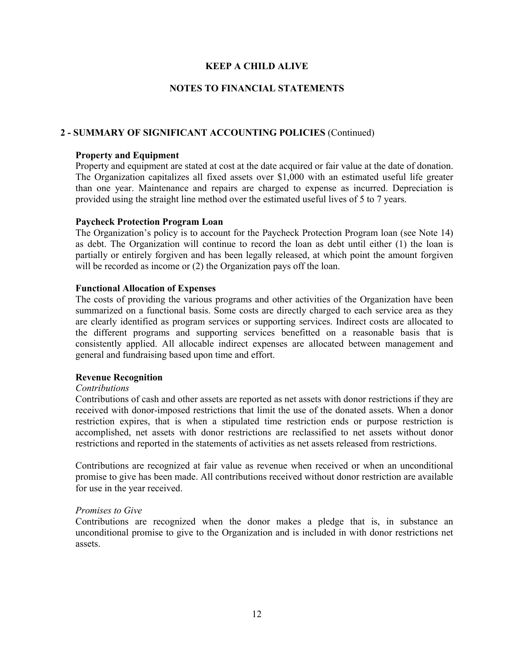## **NOTES TO FINANCIAL STATEMENTS**

## **2 - SUMMARY OF SIGNIFICANT ACCOUNTING POLICIES** (Continued)

#### **Property and Equipment**

Property and equipment are stated at cost at the date acquired or fair value at the date of donation. The Organization capitalizes all fixed assets over \$1,000 with an estimated useful life greater than one year. Maintenance and repairs are charged to expense as incurred. Depreciation is provided using the straight line method over the estimated useful lives of 5 to 7 years.

#### **Paycheck Protection Program Loan**

The Organization's policy is to account for the Paycheck Protection Program loan (see Note 14) as debt. The Organization will continue to record the loan as debt until either (1) the loan is partially or entirely forgiven and has been legally released, at which point the amount forgiven will be recorded as income or (2) the Organization pays off the loan.

#### **Functional Allocation of Expenses**

The costs of providing the various programs and other activities of the Organization have been summarized on a functional basis. Some costs are directly charged to each service area as they are clearly identified as program services or supporting services. Indirect costs are allocated to the different programs and supporting services benefitted on a reasonable basis that is consistently applied. All allocable indirect expenses are allocated between management and general and fundraising based upon time and effort.

#### **Revenue Recognition**

#### *Contributions*

Contributions of cash and other assets are reported as net assets with donor restrictions if they are received with donor-imposed restrictions that limit the use of the donated assets. When a donor restriction expires, that is when a stipulated time restriction ends or purpose restriction is accomplished, net assets with donor restrictions are reclassified to net assets without donor restrictions and reported in the statements of activities as net assets released from restrictions.

Contributions are recognized at fair value as revenue when received or when an unconditional promise to give has been made. All contributions received without donor restriction are available for use in the year received.

#### *Promises to Give*

Contributions are recognized when the donor makes a pledge that is, in substance an unconditional promise to give to the Organization and is included in with donor restrictions net assets.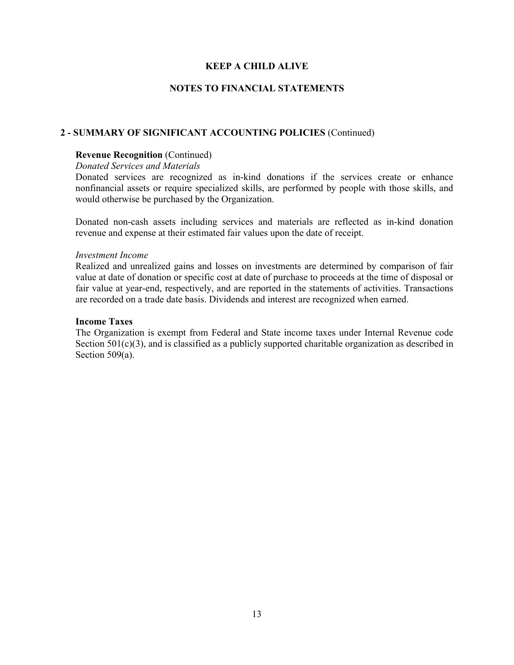## **NOTES TO FINANCIAL STATEMENTS**

#### **2 - SUMMARY OF SIGNIFICANT ACCOUNTING POLICIES** (Continued)

#### **Revenue Recognition** (Continued)

#### *Donated Services and Materials*

Donated services are recognized as in-kind donations if the services create or enhance nonfinancial assets or require specialized skills, are performed by people with those skills, and would otherwise be purchased by the Organization.

Donated non-cash assets including services and materials are reflected as in-kind donation revenue and expense at their estimated fair values upon the date of receipt.

#### *Investment Income*

Realized and unrealized gains and losses on investments are determined by comparison of fair value at date of donation or specific cost at date of purchase to proceeds at the time of disposal or fair value at year-end, respectively, and are reported in the statements of activities. Transactions are recorded on a trade date basis. Dividends and interest are recognized when earned.

#### **Income Taxes**

The Organization is exempt from Federal and State income taxes under Internal Revenue code Section 501(c)(3), and is classified as a publicly supported charitable organization as described in Section 509(a).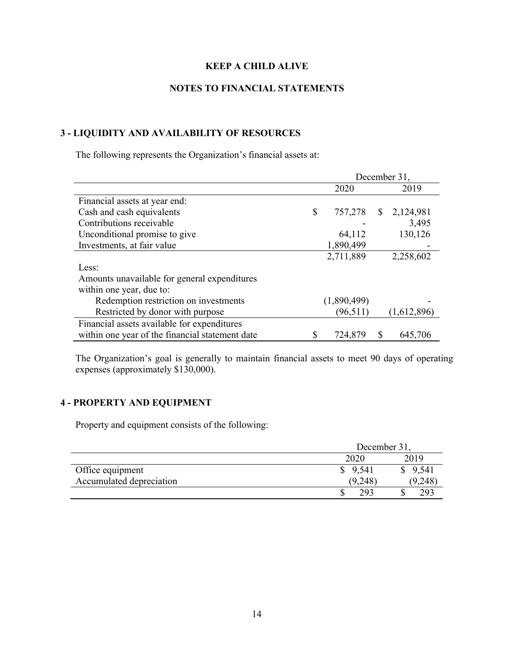# **NOTES TO FINANCIAL STATEMENTS**

# **3 - LIQUIDITY AND AVAILABILITY OF RESOURCES**

The following represents the Organization's financial assets at:

|                                                 |   | December 31, |              |             |  |  |
|-------------------------------------------------|---|--------------|--------------|-------------|--|--|
|                                                 |   | 2020         |              | 2019        |  |  |
| Financial assets at year end:                   |   |              |              |             |  |  |
| Cash and cash equivalents                       | S | 757,278      | <sup>S</sup> | 2,124,981   |  |  |
| Contributions receivable                        |   |              |              | 3,495       |  |  |
| Unconditional promise to give                   |   | 64,112       |              | 130,126     |  |  |
| Investments, at fair value                      |   | 1,890,499    |              |             |  |  |
|                                                 |   | 2,711,889    |              | 2,258,602   |  |  |
| Less:                                           |   |              |              |             |  |  |
| Amounts unavailable for general expenditures    |   |              |              |             |  |  |
| within one year, due to:                        |   |              |              |             |  |  |
| Redemption restriction on investments           |   | (1,890,499)  |              |             |  |  |
| Restricted by donor with purpose                |   | (96, 511)    |              | (1,612,896) |  |  |
| Financial assets available for expenditures     |   |              |              |             |  |  |
| within one year of the financial statement date |   | 724,879      | S            | 645,706     |  |  |

The Organization's goal is generally to maintain financial assets to meet 90 days of operating expenses (approximately \$130,000).

# **4 - PROPERTY AND EQUIPMENT**

Property and equipment consists of the following:

|                          | December 31, |         |  |
|--------------------------|--------------|---------|--|
|                          | 2020         | 2019    |  |
| Office equipment         | \$9,541      | 9,541   |  |
| Accumulated depreciation | (9,248)      | (9,248) |  |
|                          | 293          | 293     |  |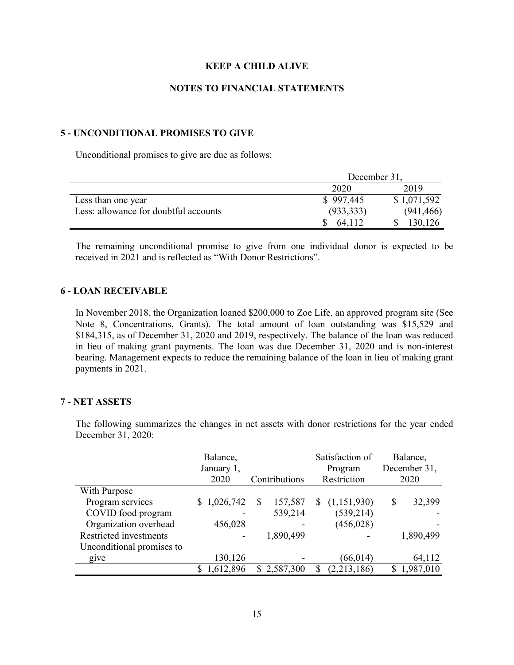# **NOTES TO FINANCIAL STATEMENTS**

## **5 - UNCONDITIONAL PROMISES TO GIVE**

Unconditional promises to give are due as follows:

|                                       | December 31, |             |  |  |
|---------------------------------------|--------------|-------------|--|--|
|                                       | 2020         | 2019        |  |  |
| Less than one year                    | \$997,445    | \$1,071,592 |  |  |
| Less: allowance for doubtful accounts | (933, 333)   | (941, 466)  |  |  |
|                                       | 64,112       | 130,126     |  |  |

The remaining unconditional promise to give from one individual donor is expected to be received in 2021 and is reflected as "With Donor Restrictions".

## **6 - LOAN RECEIVABLE**

In November 2018, the Organization loaned \$200,000 to Zoe Life, an approved program site (See Note 8, Concentrations, Grants). The total amount of loan outstanding was \$15,529 and \$184,315, as of December 31, 2020 and 2019, respectively. The balance of the loan was reduced in lieu of making grant payments. The loan was due December 31, 2020 and is non-interest bearing. Management expects to reduce the remaining balance of the loan in lieu of making grant payments in 2021.

## **7 - NET ASSETS**

The following summarizes the changes in net assets with donor restrictions for the year ended December 31, 2020:

|                           | Balance,    |               | Satisfaction of  | Balance,     |
|---------------------------|-------------|---------------|------------------|--------------|
|                           | January 1,  |               | Program          | December 31, |
|                           | 2020        | Contributions | Restriction      | 2020         |
| With Purpose              |             |               |                  |              |
| Program services          | \$1,026,742 | 157,587<br>S  | (1,151,930)<br>S | 32,399<br>S  |
| COVID food program        |             | 539,214       | (539, 214)       |              |
| Organization overhead     | 456,028     |               | (456, 028)       |              |
| Restricted investments    |             | 1,890,499     |                  | 1,890,499    |
| Unconditional promises to |             |               |                  |              |
| give                      | 130,126     |               | (66, 014)        | 64,112       |
|                           | 1,612,896   | \$2,587,300   | (2,213,186)      | 1,987,010    |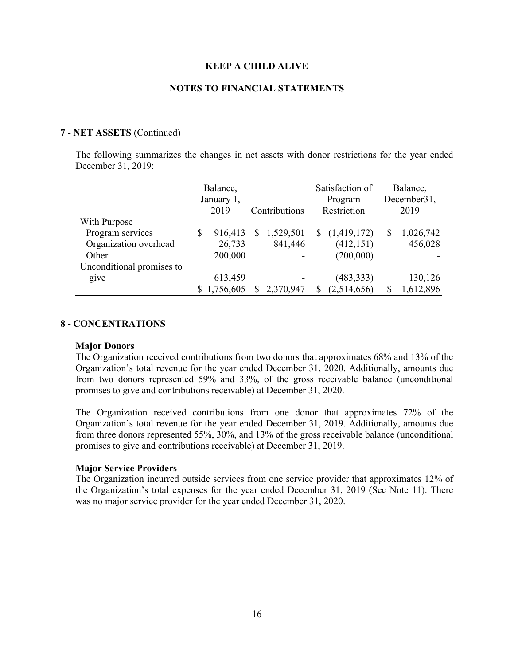#### **NOTES TO FINANCIAL STATEMENTS**

#### **7 - NET ASSETS** (Continued)

The following summarizes the changes in net assets with donor restrictions for the year ended December 31, 2019:

|                           | Balance,<br>January 1, |              |               | Satisfaction of<br>Program |   | Balance,<br>December31, |
|---------------------------|------------------------|--------------|---------------|----------------------------|---|-------------------------|
|                           | 2019                   |              | Contributions | Restriction                |   | 2019                    |
| With Purpose              |                        |              |               |                            |   |                         |
| Program services          | \$<br>916,413          | <sup>S</sup> | 1,529,501     | $\frac{1,419,172}{2}$      | S | 1,026,742               |
| Organization overhead     | 26,733                 |              | 841,446       | (412, 151)                 |   | 456,028                 |
| Other                     | 200,000                |              |               | (200,000)                  |   |                         |
| Unconditional promises to |                        |              |               |                            |   |                         |
| give                      | 613,459                |              |               | (483, 333)                 |   | 130,126                 |
|                           | 1,756,605              |              | 2,370,947     | (2,514,656)                |   | 1,612,896               |

#### **8 - CONCENTRATIONS**

#### **Major Donors**

The Organization received contributions from two donors that approximates 68% and 13% of the Organization's total revenue for the year ended December 31, 2020. Additionally, amounts due from two donors represented 59% and 33%, of the gross receivable balance (unconditional promises to give and contributions receivable) at December 31, 2020.

The Organization received contributions from one donor that approximates 72% of the Organization's total revenue for the year ended December 31, 2019. Additionally, amounts due from three donors represented 55%, 30%, and 13% of the gross receivable balance (unconditional promises to give and contributions receivable) at December 31, 2019.

#### **Major Service Providers**

The Organization incurred outside services from one service provider that approximates 12% of the Organization's total expenses for the year ended December 31, 2019 (See Note 11). There was no major service provider for the year ended December 31, 2020.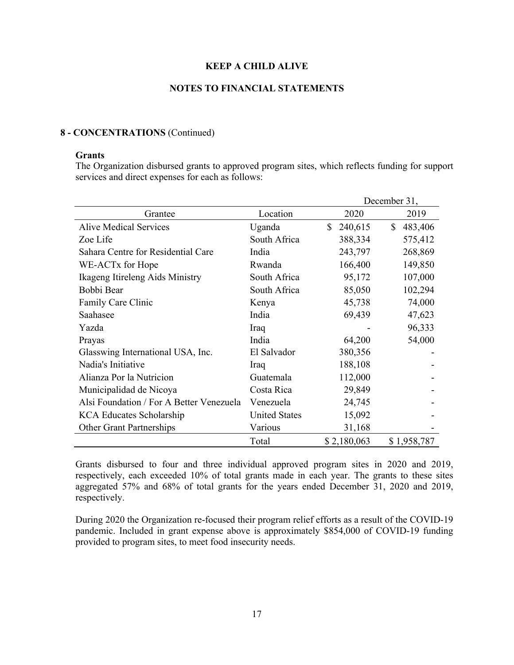## **NOTES TO FINANCIAL STATEMENTS**

#### **8 - CONCENTRATIONS** (Continued)

#### **Grants**

The Organization disbursed grants to approved program sites, which reflects funding for support services and direct expenses for each as follows:

|                                          |                      |               | December 31,  |  |
|------------------------------------------|----------------------|---------------|---------------|--|
| Grantee                                  | Location             | 2020          | 2019          |  |
| <b>Alive Medical Services</b>            | Uganda               | 240,615<br>\$ | \$<br>483,406 |  |
| Zoe Life                                 | South Africa         | 388,334       | 575,412       |  |
| Sahara Centre for Residential Care       | India                | 243,797       | 268,869       |  |
| WE-ACTx for Hope                         | Rwanda               | 166,400       | 149,850       |  |
| Ikageng Itireleng Aids Ministry          | South Africa         | 95,172        | 107,000       |  |
| Bobbi Bear                               | South Africa         | 85,050        | 102,294       |  |
| Family Care Clinic                       | Kenya                | 45,738        | 74,000        |  |
| Saahasee                                 | India                | 69,439        | 47,623        |  |
| Yazda                                    | Iraq                 |               | 96,333        |  |
| Prayas                                   | India                | 64,200        | 54,000        |  |
| Glasswing International USA, Inc.        | El Salvador          | 380,356       |               |  |
| Nadia's Initiative                       | Iraq                 | 188,108       |               |  |
| Alianza Por la Nutricion                 | Guatemala            | 112,000       |               |  |
| Municipalidad de Nicoya                  | Costa Rica           | 29,849        |               |  |
| Alsi Foundation / For A Better Venezuela | Venezuela            | 24,745        |               |  |
| <b>KCA Educates Scholarship</b>          | <b>United States</b> | 15,092        |               |  |
| <b>Other Grant Partnerships</b>          | Various              | 31,168        |               |  |
|                                          | Total                | \$2,180,063   | \$1,958,787   |  |

Grants disbursed to four and three individual approved program sites in 2020 and 2019, respectively, each exceeded 10% of total grants made in each year. The grants to these sites aggregated 57% and 68% of total grants for the years ended December 31, 2020 and 2019, respectively.

During 2020 the Organization re-focused their program relief efforts as a result of the COVID-19 pandemic. Included in grant expense above is approximately \$854,000 of COVID-19 funding provided to program sites, to meet food insecurity needs.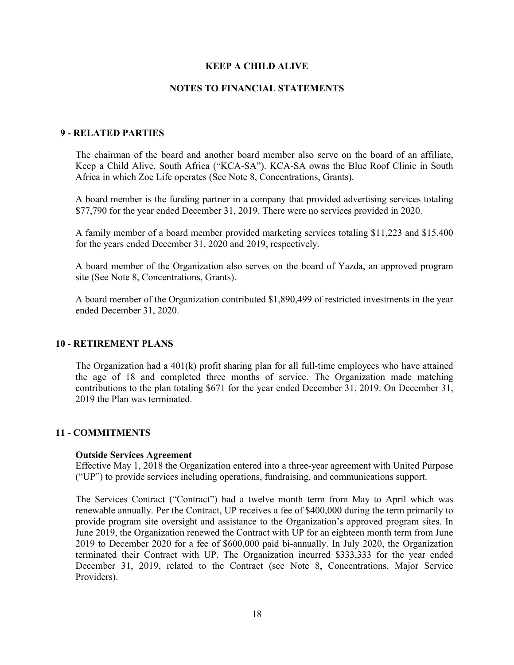#### **NOTES TO FINANCIAL STATEMENTS**

## **9 - RELATED PARTIES**

The chairman of the board and another board member also serve on the board of an affiliate, Keep a Child Alive, South Africa ("KCA-SA"). KCA-SA owns the Blue Roof Clinic in South Africa in which Zoe Life operates (See Note 8, Concentrations, Grants).

A board member is the funding partner in a company that provided advertising services totaling \$77,790 for the year ended December 31, 2019. There were no services provided in 2020.

A family member of a board member provided marketing services totaling \$11,223 and \$15,400 for the years ended December 31, 2020 and 2019, respectively.

A board member of the Organization also serves on the board of Yazda, an approved program site (See Note 8, Concentrations, Grants).

A board member of the Organization contributed \$1,890,499 of restricted investments in the year ended December 31, 2020.

#### **10 - RETIREMENT PLANS**

The Organization had a  $401(k)$  profit sharing plan for all full-time employees who have attained the age of 18 and completed three months of service. The Organization made matching contributions to the plan totaling \$671 for the year ended December 31, 2019. On December 31, 2019 the Plan was terminated.

## **11 - COMMITMENTS**

#### **Outside Services Agreement**

Effective May 1, 2018 the Organization entered into a three-year agreement with United Purpose ("UP") to provide services including operations, fundraising, and communications support.

The Services Contract ("Contract") had a twelve month term from May to April which was renewable annually. Per the Contract, UP receives a fee of \$400,000 during the term primarily to provide program site oversight and assistance to the Organization's approved program sites. In June 2019, the Organization renewed the Contract with UP for an eighteen month term from June 2019 to December 2020 for a fee of \$600,000 paid bi-annually. In July 2020, the Organization terminated their Contract with UP. The Organization incurred \$333,333 for the year ended December 31, 2019, related to the Contract (see Note 8, Concentrations, Major Service Providers).